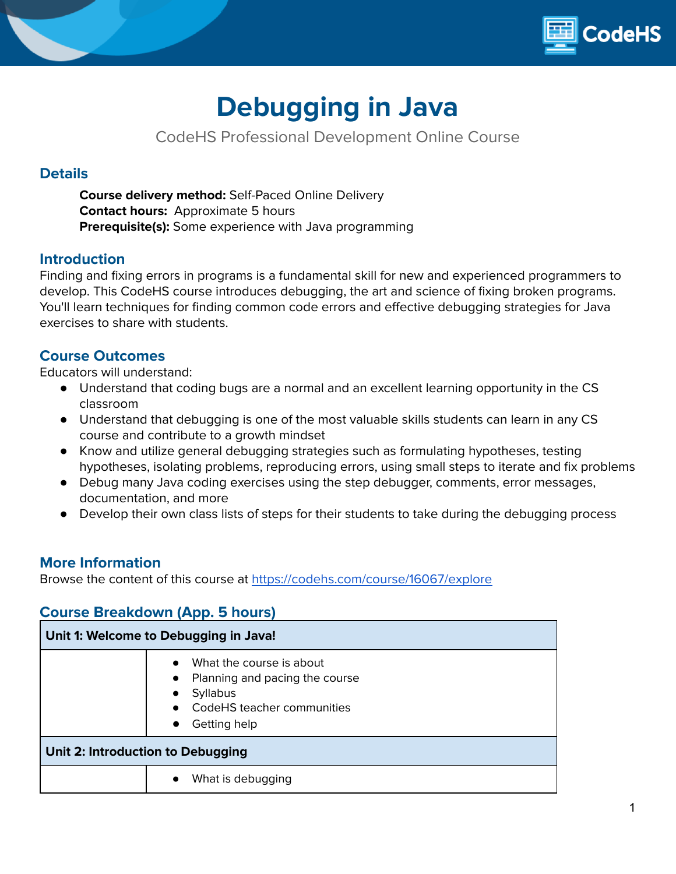

# **Debugging in Java**

CodeHS Professional Development Online Course

# **Details**

**Course delivery method:** Self-Paced Online Delivery **Contact hours:** Approximate 5 hours **Prerequisite(s):** Some experience with Java programming

## **Introduction**

Finding and fixing errors in programs is a fundamental skill for new and experienced programmers to develop. This CodeHS course introduces debugging, the art and science of fixing broken programs. You'll learn techniques for finding common code errors and effective debugging strategies for Java exercises to share with students.

## **Course Outcomes**

Educators will understand:

- Understand that coding bugs are a normal and an excellent learning opportunity in the CS classroom
- Understand that debugging is one of the most valuable skills students can learn in any CS course and contribute to a growth mindset
- Know and utilize general debugging strategies such as formulating hypotheses, testing hypotheses, isolating problems, reproducing errors, using small steps to iterate and fix problems
- Debug many Java coding exercises using the step debugger, comments, error messages, documentation, and more
- Develop their own class lists of steps for their students to take during the debugging process

## **More Information**

Browse the content of this course at <https://codehs.com/course/16067/explore>

# **Course Breakdown (App. 5 hours)**

| Unit 1: Welcome to Debugging in Java! |                                                                                                                                                                    |  |
|---------------------------------------|--------------------------------------------------------------------------------------------------------------------------------------------------------------------|--|
|                                       | What the course is about<br>Planning and pacing the course<br>$\bullet$<br><b>Syllabus</b><br>$\bullet$<br>CodeHS teacher communities<br>Getting help<br>$\bullet$ |  |
| Unit 2: Introduction to Debugging     |                                                                                                                                                                    |  |
|                                       | What is debugging<br>$\bullet$                                                                                                                                     |  |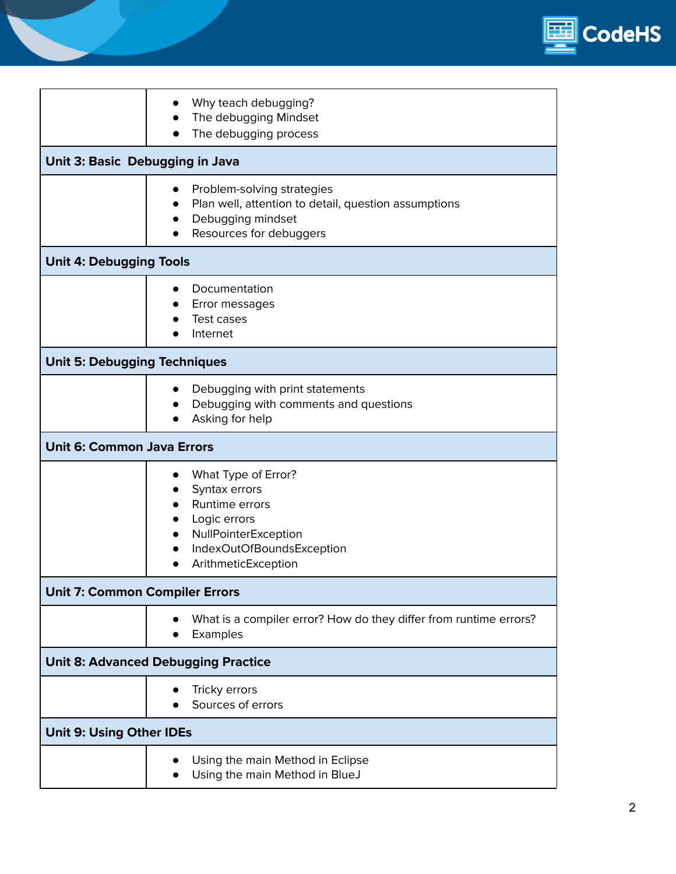

|                                            | Why teach debugging?<br>The debugging Mindset<br>The debugging process                                                                                          |  |
|--------------------------------------------|-----------------------------------------------------------------------------------------------------------------------------------------------------------------|--|
| Unit 3: Basic Debugging in Java            |                                                                                                                                                                 |  |
|                                            | Problem-solving strategies<br>Plan well, attention to detail, question assumptions<br>Debugging mindset<br>Resources for debuggers                              |  |
| <b>Unit 4: Debugging Tools</b>             |                                                                                                                                                                 |  |
|                                            | Documentation<br>Error messages<br>Test cases<br>Internet                                                                                                       |  |
| <b>Unit 5: Debugging Techniques</b>        |                                                                                                                                                                 |  |
|                                            | Debugging with print statements<br>Debugging with comments and questions<br>Asking for help                                                                     |  |
| <b>Unit 6: Common Java Errors</b>          |                                                                                                                                                                 |  |
|                                            | What Type of Error?<br>Syntax errors<br>Runtime errors<br>Logic errors<br>$\bullet$<br>NullPointerException<br>IndexOutOfBoundsException<br>ArithmeticException |  |
| <b>Unit 7: Common Compiler Errors</b>      |                                                                                                                                                                 |  |
|                                            | What is a compiler error? How do they differ from runtime errors?<br>Examples                                                                                   |  |
| <b>Unit 8: Advanced Debugging Practice</b> |                                                                                                                                                                 |  |
|                                            | Tricky errors<br>Sources of errors                                                                                                                              |  |
| <b>Unit 9: Using Other IDEs</b>            |                                                                                                                                                                 |  |
|                                            | Using the main Method in Eclipse<br>Using the main Method in BlueJ                                                                                              |  |